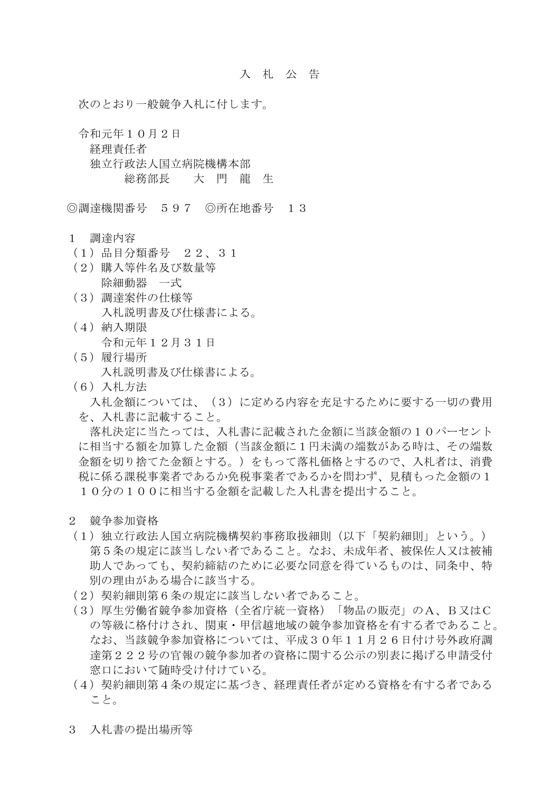次のとおり一般競争入札に付します。

 令和元年10月2日 経理責任者 独立行政法人国立病院機構本部 総務部長 大 門 龍 生

◎調達機関番号 597 ◎所在地番号 13

- 1 調達内容
- (1)品目分類番号 22、31
- (2)購入等件名及び数量等 除細動器 一式
- (3)調達案件の仕様等 入札説明書及び仕様書による。
- (4)納入期限 令和元年12月31日
- (5)履行場所
	- 入札説明書及び仕様書による。
- (6)入札方法

 入札金額については、(3)に定める内容を充足するために要する一切の費用 を、入札書に記載すること。

 落札決定に当たっては、入札書に記載された金額に当該金額の10パーセント に相当する額を加算した金額(当該金額に1円未満の端数がある時は、その端数 金額を切り捨てた金額とする。)をもって落札価格とするので、入札者は、消費 税に係る課税事業者であるか免税事業者であるかを問わず、見積もった金額の1 10分の100に相当する金額を記載した入札書を提出すること。

- 2 競争参加資格
- (1)独立行政法人国立病院機構契約事務取扱細則(以下「契約細則」という。) 第5条の規定に該当しない者であること。なお、未成年者、被保佐人又は被補 助人であっても、契約締結のために必要な同意を得ているものは、同条中、特 別の理由がある場合に該当する。
- (2)契約細則第6条の規定に該当しない者であること。
- (3)厚生労働省競争参加資格(全省庁統一資格)「物品の販売」のA、B又はC の等級に格付けされ、関東・甲信越地域の競争参加資格を有する者であること。 なお、当該競争参加資格については、平成30年11月26日付け号外政府調 達第222号の官報の競争参加者の資格に関する公示の別表に掲げる申請受付 窓口において随時受け付けている。
- (4)契約細則第4条の規定に基づき、経理責任者が定める資格を有する者である こと。
- 3 入札書の提出場所等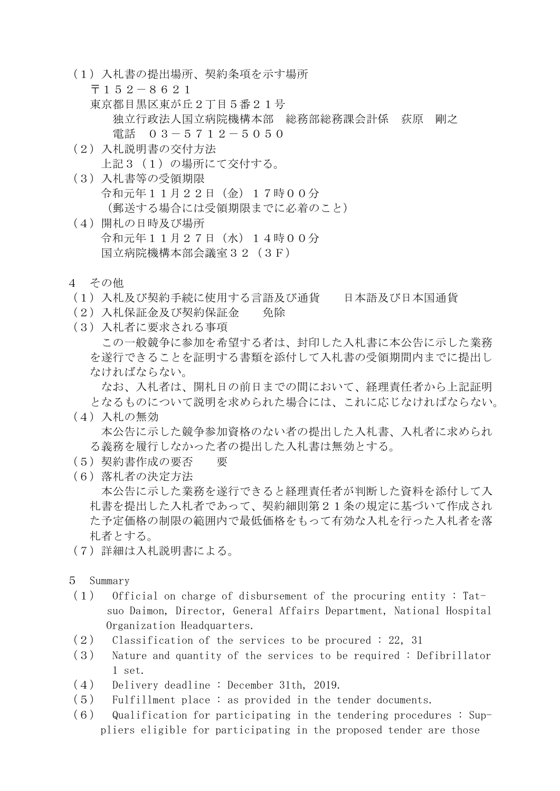- (1)入札書の提出場所、契約条項を示す場所
	- 〒152-8621
	- 東京都目黒区東が丘2丁目5番21号
		- 独立行政法人国立病院機構本部 総務部総務課会計係 荻原 剛之
			- 電話 03-5712-5050
- (2)入札説明書の交付方法 上記3(1)の場所にて交付する。
- (3)入札書等の受領期限 令和元年11月22日(金)17時00分 (郵送する場合には受領期限までに必着のこと)
- (4)開札の日時及び場所 令和元年11月27日(水)14時00分 国立病院機構本部会議室32(3F)
- 4 その他
- (1)入札及び契約手続に使用する言語及び通貨 日本語及び日本国通貨
- (2)入札保証金及び契約保証金 免除
- (3)入札者に要求される事項

 この一般競争に参加を希望する者は、封印した入札書に本公告に示した業務 を遂行できることを証明する書類を添付して入札書の受領期間内までに提出し なければならない。

 なお、入札者は、開札日の前日までの間において、経理責任者から上記証明 となるものについて説明を求められた場合には、これに応じなければならない。

- (4)入札の無効 本公告に示した競争参加資格のない者の提出した入札書、入札者に求められ る義務を履行しなかった者の提出した入札書は無効とする。
- (5)契約書作成の要否 要
- (6)落札者の決定方法 本公告に示した業務を遂行できると経理責任者が判断した資料を添付して入 札書を提出した入札者であって、契約細則第21条の規定に基づいて作成され た予定価格の制限の範囲内で最低価格をもって有効な入札を行った入札者を落 札者とする。
- (7)詳細は入札説明書による。
- 5 Summary
- (1) Official on charge of disbursement of the procuring entity : Tat suo Daimon, Director, General Affairs Department, National Hospital Organization Headquarters.
- $(2)$  Classification of the services to be procured : 22, 31
- (3) Nature and quantity of the services to be required : Defibrillator 1 set.
- (4) Delivery deadline : December 31th, 2019.
- (5) Fulfillment place : as provided in the tender documents.
- $(6)$  Qualification for participating in the tendering procedures : Suppliers eligible for participating in the proposed tender are those